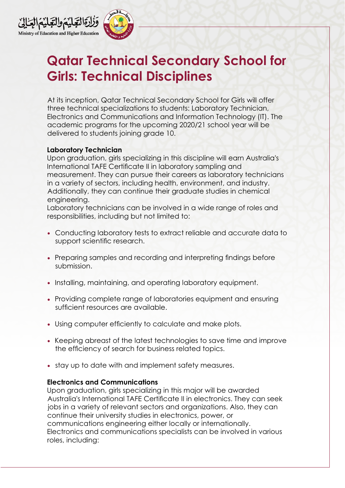



## **Qatar Technical Secondary School for Girls: Technical Disciplines**

At its inception, Qatar Technical Secondary School for Girls will offer three technical specializations to students: Laboratory Technician, Electronics and Communications and Information Technology (IT). The academic programs for the upcoming 2020/21 school year will be delivered to students joining grade 10.

## **Laboratory Technician**

Upon graduation, girls specializing in this discipline will earn Australia's International TAFE Certificate II in laboratory sampling and measurement. They can pursue their careers as laboratory technicians in a variety of sectors, including health, environment, and industry. Additionally, they can continue their graduate studies in chemical engineering.

Laboratory technicians can be involved in a wide range of roles and responsibilities, including but not limited to:

- Conducting laboratory tests to extract reliable and accurate data to support scientific research.
- Preparing samples and recording and interpreting findings before submission.
- Installing, maintaining, and operating laboratory equipment.
- Providing complete range of laboratories equipment and ensuring sufficient resources are available.
- Using computer efficiently to calculate and make plots.
- Keeping abreast of the latest technologies to save time and improve the efficiency of search for business related topics.
- stay up to date with and implement safety measures.

## **Electronics and Communications**

Upon graduation, girls specializing in this major will be awarded Australia's International TAFE Certificate II in electronics. They can seek jobs in a variety of relevant sectors and organizations. Also, they can continue their university studies in electronics, power, or communications engineering either locally or internationally. Electronics and communications specialists can be involved in various roles, including: